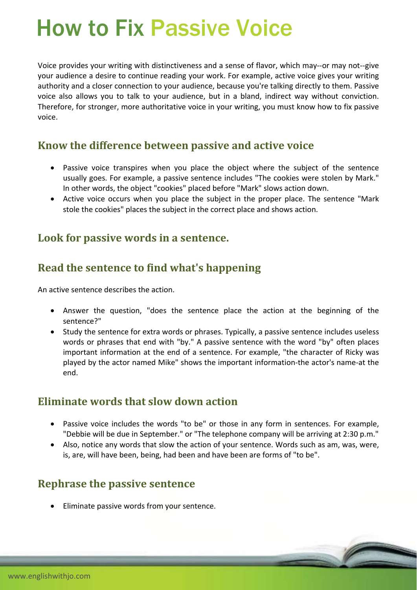# How to Fix Passive Voice

Voice provides your writing with distinctiveness and a sense of flavor, which may‐‐or may not‐‐give your audience a desire to continue reading your work. For example, active voice gives your writing authority and a closer connection to your audience, because you're talking directly to them. Passive voice also allows you to talk to your audience, but in a bland, indirect way without conviction. Therefore, for stronger, more authoritative voice in your writing, you must know how to fix passive voice.

#### **Know the difference between passive and active voice**

- Passive voice transpires when you place the object where the subject of the sentence usually goes. For example, a passive sentence includes "The cookies were stolen by Mark." In other words, the object "cookies" placed before "Mark" slows action down.
- Active voice occurs when you place the subject in the proper place. The sentence "Mark stole the cookies" places the subject in the correct place and shows action.

#### **Look for passive words in a sentence.**

## **Read the sentence to find what's happening**

An active sentence describes the action.

- Answer the question, "does the sentence place the action at the beginning of the sentence?"
- Study the sentence for extra words or phrases. Typically, a passive sentence includes useless words or phrases that end with "by." A passive sentence with the word "by" often places important information at the end of a sentence. For example, "the character of Ricky was played by the actor named Mike" shows the important information‐the actor's name‐at the end.

## **Eliminate words that slow down action**

- Passive voice includes the words "to be" or those in any form in sentences. For example, "Debbie will be due in September." or "The telephone company will be arriving at 2:30 p.m."
- Also, notice any words that slow the action of your sentence. Words such as am, was, were, is, are, will have been, being, had been and have been are forms of "to be".

## **Rephrase the passive sentence**

**Eliminate passive words from your sentence.**